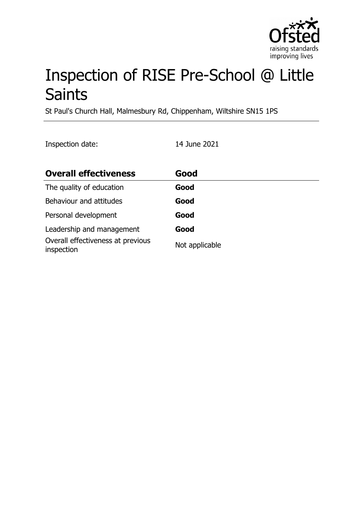

# Inspection of RISE Pre-School @ Little Saints

St Paul's Church Hall, Malmesbury Rd, Chippenham, Wiltshire SN15 1PS

Inspection date: 14 June 2021

| <b>Overall effectiveness</b>                    | Good           |
|-------------------------------------------------|----------------|
| The quality of education                        | Good           |
| Behaviour and attitudes                         | Good           |
| Personal development                            | Good           |
| Leadership and management                       | Good           |
| Overall effectiveness at previous<br>inspection | Not applicable |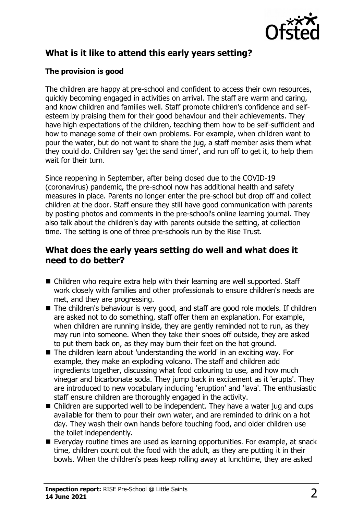

# **What is it like to attend this early years setting?**

### **The provision is good**

The children are happy at pre-school and confident to access their own resources, quickly becoming engaged in activities on arrival. The staff are warm and caring, and know children and families well. Staff promote children's confidence and selfesteem by praising them for their good behaviour and their achievements. They have high expectations of the children, teaching them how to be self-sufficient and how to manage some of their own problems. For example, when children want to pour the water, but do not want to share the jug, a staff member asks them what they could do. Children say 'get the sand timer', and run off to get it, to help them wait for their turn.

Since reopening in September, after being closed due to the COVID-19 (coronavirus) pandemic, the pre-school now has additional health and safety measures in place. Parents no longer enter the pre-school but drop off and collect children at the door. Staff ensure they still have good communication with parents by posting photos and comments in the pre-school's online learning journal. They also talk about the children's day with parents outside the setting, at collection time. The setting is one of three pre-schools run by the Rise Trust.

## **What does the early years setting do well and what does it need to do better?**

- $\blacksquare$  Children who require extra help with their learning are well supported. Staff work closely with families and other professionals to ensure children's needs are met, and they are progressing.
- The children's behaviour is very good, and staff are good role models. If children are asked not to do something, staff offer them an explanation. For example, when children are running inside, they are gently reminded not to run, as they may run into someone. When they take their shoes off outside, they are asked to put them back on, as they may burn their feet on the hot ground.
- $\blacksquare$  The children learn about 'understanding the world' in an exciting way. For example, they make an exploding volcano. The staff and children add ingredients together, discussing what food colouring to use, and how much vinegar and bicarbonate soda. They jump back in excitement as it 'erupts'. They are introduced to new vocabulary including 'eruption' and 'lava'. The enthusiastic staff ensure children are thoroughly engaged in the activity.
- $\blacksquare$  Children are supported well to be independent. They have a water jug and cups available for them to pour their own water, and are reminded to drink on a hot day. They wash their own hands before touching food, and older children use the toilet independently.
- $\blacksquare$  Everyday routine times are used as learning opportunities. For example, at snack time, children count out the food with the adult, as they are putting it in their bowls. When the children's peas keep rolling away at lunchtime, they are asked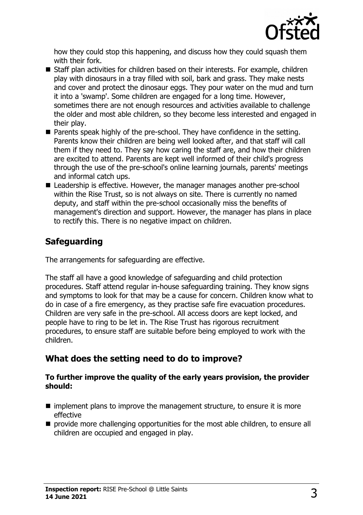

how they could stop this happening, and discuss how they could squash them with their fork.

- $\blacksquare$  Staff plan activities for children based on their interests. For example, children play with dinosaurs in a tray filled with soil, bark and grass. They make nests and cover and protect the dinosaur eggs. They pour water on the mud and turn it into a 'swamp'. Some children are engaged for a long time. However, sometimes there are not enough resources and activities available to challenge the older and most able children, so they become less interested and engaged in their play.
- Parents speak highly of the pre-school. They have confidence in the setting. Parents know their children are being well looked after, and that staff will call them if they need to. They say how caring the staff are, and how their children are excited to attend. Parents are kept well informed of their child's progress through the use of the pre-school's online learning journals, parents' meetings and informal catch ups.
- Leadership is effective. However, the manager manages another pre-school within the Rise Trust, so is not always on site. There is currently no named deputy, and staff within the pre-school occasionally miss the benefits of management's direction and support. However, the manager has plans in place to rectify this. There is no negative impact on children.

# **Safeguarding**

The arrangements for safeguarding are effective.

The staff all have a good knowledge of safeguarding and child protection procedures. Staff attend regular in-house safeguarding training. They know signs and symptoms to look for that may be a cause for concern. Children know what to do in case of a fire emergency, as they practise safe fire evacuation procedures. Children are very safe in the pre-school. All access doors are kept locked, and people have to ring to be let in. The Rise Trust has rigorous recruitment procedures, to ensure staff are suitable before being employed to work with the children.

# **What does the setting need to do to improve?**

#### **To further improve the quality of the early years provision, the provider should:**

- $\blacksquare$  implement plans to improve the management structure, to ensure it is more effective
- $\blacksquare$  provide more challenging opportunities for the most able children, to ensure all children are occupied and engaged in play.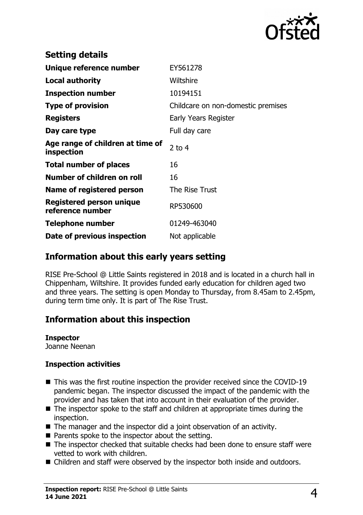

| <b>Setting details</b>                              |                                    |
|-----------------------------------------------------|------------------------------------|
| Unique reference number                             | EY561278                           |
| <b>Local authority</b>                              | Wiltshire                          |
| <b>Inspection number</b>                            | 10194151                           |
| <b>Type of provision</b>                            | Childcare on non-domestic premises |
| <b>Registers</b>                                    | Early Years Register               |
| Day care type                                       | Full day care                      |
| Age range of children at time of<br>inspection      | 2 to $4$                           |
| <b>Total number of places</b>                       | 16                                 |
| Number of children on roll                          | 16                                 |
| Name of registered person                           | The Rise Trust                     |
| <b>Registered person unique</b><br>reference number | RP530600                           |
| <b>Telephone number</b>                             | 01249-463040                       |
| Date of previous inspection                         | Not applicable                     |

## **Information about this early years setting**

RISE Pre-School @ Little Saints registered in 2018 and is located in a church hall in Chippenham, Wiltshire. It provides funded early education for children aged two and three years. The setting is open Monday to Thursday, from 8.45am to 2.45pm, during term time only. It is part of The Rise Trust.

## **Information about this inspection**

#### **Inspector**

Joanne Neenan

#### **Inspection activities**

- $\blacksquare$  This was the first routine inspection the provider received since the COVID-19 pandemic began. The inspector discussed the impact of the pandemic with the provider and has taken that into account in their evaluation of the provider.
- $\blacksquare$  The inspector spoke to the staff and children at appropriate times during the inspection.
- $\blacksquare$  The manager and the inspector did a joint observation of an activity.
- $\blacksquare$  Parents spoke to the inspector about the setting.
- $\blacksquare$  The inspector checked that suitable checks had been done to ensure staff were vetted to work with children.
- Children and staff were observed by the inspector both inside and outdoors.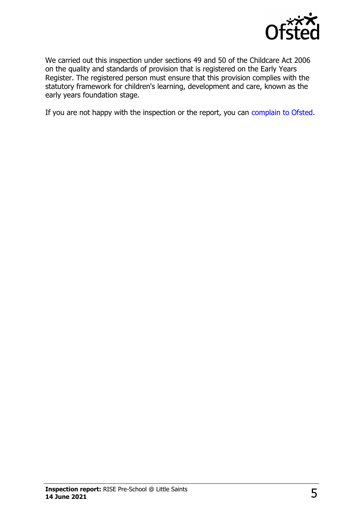

We carried out this inspection under sections 49 and 50 of the Childcare Act 2006 on the quality and standards of provision that is registered on the Early Years Register. The registered person must ensure that this provision complies with the statutory framework for children's learning, development and care, known as the early years foundation stage.

If you are not happy with the inspection or the report, you can [complain to Ofsted.](http://www.gov.uk/complain-ofsted-report)